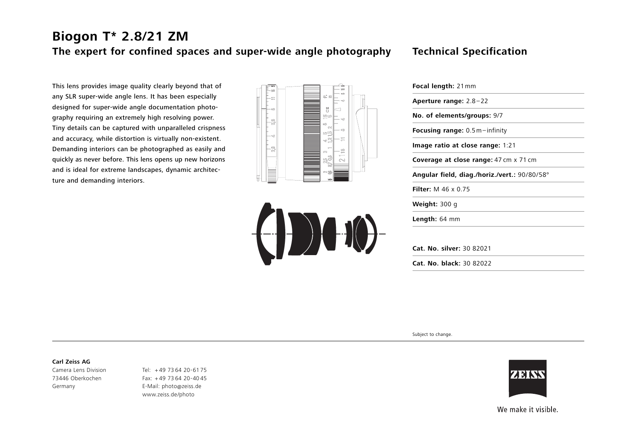# **Biogon T\* 2.8/21 ZM The expert for confined spaces and super-wide angle photography Technical Specification**

## This lens provides image quality clearly beyond that of any SLR super-wide angle lens. It has been especially designed for super-wide angle documentation photography requiring an extremely high resolving power. Tiny details can be captured with unparalleled crispness and accuracy, while distortion is virtually non-existent. Demanding interiors can be photographed as easily and quickly as never before. This lens opens up new horizons and is ideal for extreme landscapes, dynamic architecture and demanding interiors.





| <b>Focal length: 21 mm</b>                    |
|-----------------------------------------------|
| Aperture range: $2.8 - 22$                    |
| No. of elements/groups: 9/7                   |
| Focusing range: 0.5m-infinity                 |
| Image ratio at close range: 1:21              |
| <b>Coverage at close range:</b> 47 cm x 71 cm |
| Angular field, diag./horiz./vert.: 90/80/58°  |
| <b>Filter:</b> M 46 x 0.75                    |
| <b>Weight: 300 g</b>                          |
| Length: 64 mm                                 |
|                                               |
| Cat. No. silver: 30 82021                     |
| Cat. No. black: 30 82022                      |

Subject to change.

#### **Carl Zeiss AG**

Camera Lens Division 73446 Oberkochen Germany

Tel: <sup>+</sup> 49 73 64 20-61 75 Fax: + 49 73 64 20-40 45 E-Mail: photo@zeiss.de www.zeiss.de/photo



We make it visible.